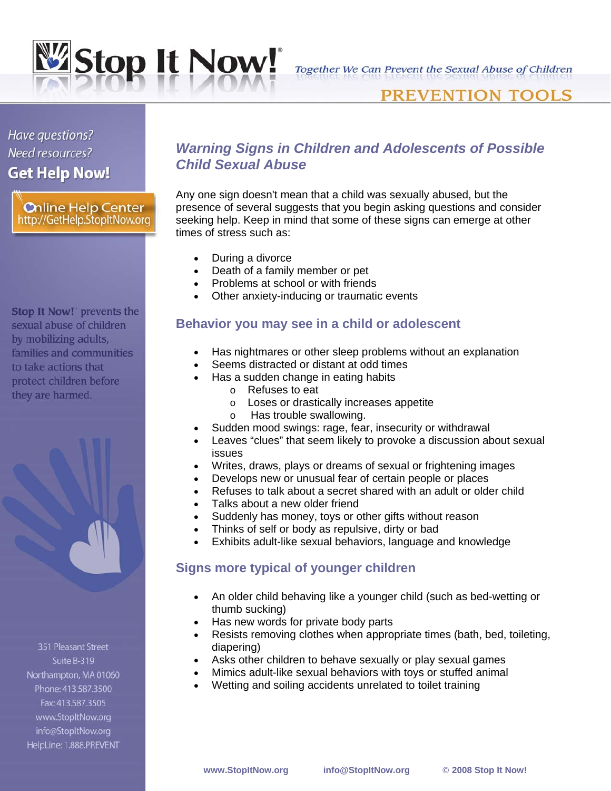

Together We Can Prevent the Sexual Abuse of Children

## **PREVENTION TOOLS**

# Have questions? Need resources? **Get Help Now!**

**Chline Help Center** http://GetHelp.StopItNow.org

Stop It Now! prevents the sexual abuse of children by mobilizing adults, families and communities to take actions that protect children before they are harmed.



351 Pleasant Street Suite B-319 Northampton, MA 01060 Phone: 413.587.3500 Fax: 413.587.3505 www.StopItNow.org info@StopItNow.org HelpLine: 1.888.PREVENT

## *Warning Signs in Children and Adolescents of Possible Child Sexual Abuse*

Any one sign doesn't mean that a child was sexually abused, but the presence of several suggests that you begin asking questions and consider seeking help. Keep in mind that some of these signs can emerge at other times of stress such as:

- During a divorce
- Death of a family member or pet
- Problems at school or with friends
- Other anxiety-inducing or traumatic events

#### **Behavior you may see in a child or adolescent**

- Has nightmares or other sleep problems without an explanation
- Seems distracted or distant at odd times
- Has a sudden change in eating habits
	- o Refuses to eat
	- o Loses or drastically increases appetite
	- o Has trouble swallowing.
- Sudden mood swings: rage, fear, insecurity or withdrawal
- Leaves "clues" that seem likely to provoke a discussion about sexual issues
- Writes, draws, plays or dreams of sexual or frightening images
- Develops new or unusual fear of certain people or places
- Refuses to talk about a secret shared with an adult or older child
- Talks about a new older friend
- Suddenly has money, toys or other gifts without reason
- Thinks of self or body as repulsive, dirty or bad
- Exhibits adult-like sexual behaviors, language and knowledge

### **Signs more typical of younger children**

- An older child behaving like a younger child (such as bed-wetting or thumb sucking)
- Has new words for private body parts
- Resists removing clothes when appropriate times (bath, bed, toileting, diapering)
- Asks other children to behave sexually or play sexual games
- Mimics adult-like sexual behaviors with toys or stuffed animal
- Wetting and soiling accidents unrelated to toilet training